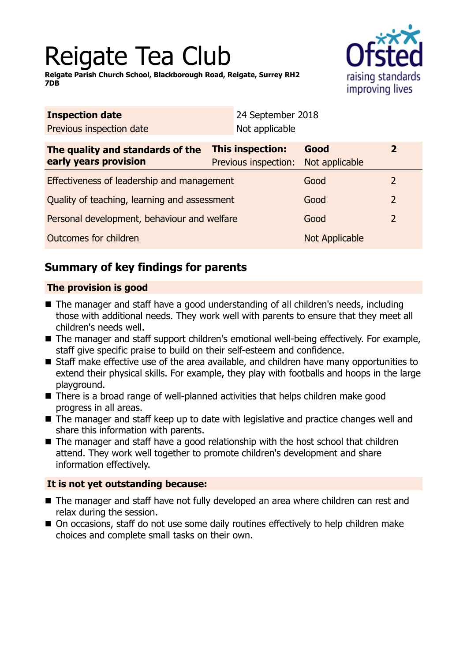# Reigate Tea Club

**Reigate Parish Church School, Blackborough Road, Reigate, Surrey RH2 7DB**



| Not applicable                               |                        |                                           |
|----------------------------------------------|------------------------|-------------------------------------------|
| This inspection:<br>Previous inspection:     | Good<br>Not applicable | $\overline{2}$                            |
| Effectiveness of leadership and management   |                        | 2                                         |
| Quality of teaching, learning and assessment |                        | $\overline{2}$                            |
| Personal development, behaviour and welfare  |                        | $\overline{2}$                            |
|                                              | <b>Not Applicable</b>  |                                           |
|                                              |                        | 24 September 2018<br>Good<br>Good<br>Good |

# **Summary of key findings for parents**

## **The provision is good**

- The manager and staff have a good understanding of all children's needs, including those with additional needs. They work well with parents to ensure that they meet all children's needs well.
- The manager and staff support children's emotional well-being effectively. For example, staff give specific praise to build on their self-esteem and confidence.
- Staff make effective use of the area available, and children have many opportunities to extend their physical skills. For example, they play with footballs and hoops in the large playground.
- $\blacksquare$  There is a broad range of well-planned activities that helps children make good progress in all areas.
- The manager and staff keep up to date with legislative and practice changes well and share this information with parents.
- $\blacksquare$  The manager and staff have a good relationship with the host school that children attend. They work well together to promote children's development and share information effectively.

## **It is not yet outstanding because:**

- The manager and staff have not fully developed an area where children can rest and relax during the session.
- On occasions, staff do not use some daily routines effectively to help children make choices and complete small tasks on their own.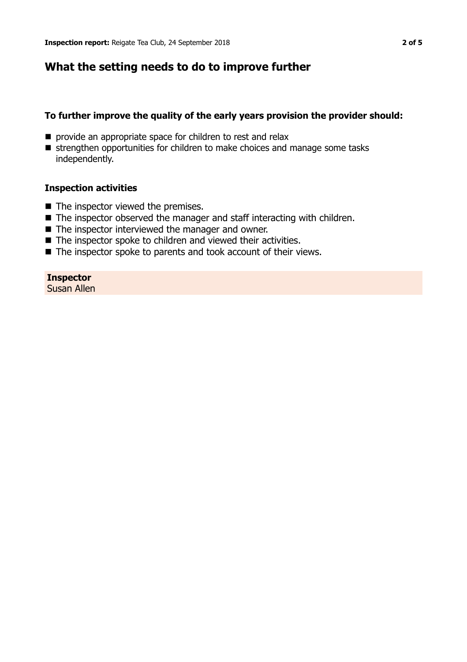## **What the setting needs to do to improve further**

#### **To further improve the quality of the early years provision the provider should:**

- **n** provide an appropriate space for children to rest and relax
- strengthen opportunities for children to make choices and manage some tasks independently.

#### **Inspection activities**

- $\blacksquare$  The inspector viewed the premises.
- $\blacksquare$  The inspector observed the manager and staff interacting with children.
- $\blacksquare$  The inspector interviewed the manager and owner.
- $\blacksquare$  The inspector spoke to children and viewed their activities.
- $\blacksquare$  The inspector spoke to parents and took account of their views.

#### **Inspector**

Susan Allen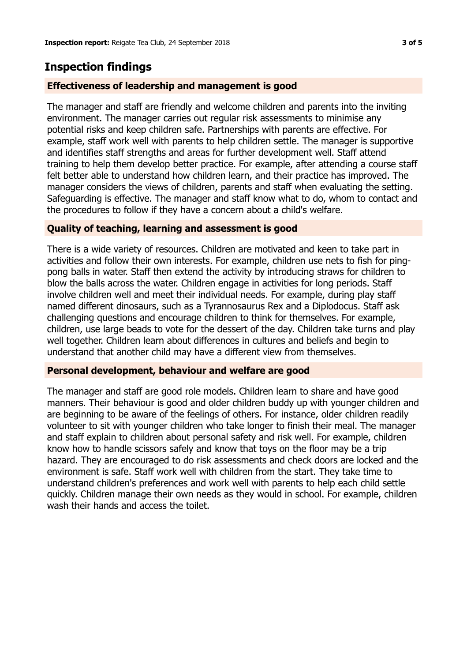# **Inspection findings**

#### **Effectiveness of leadership and management is good**

The manager and staff are friendly and welcome children and parents into the inviting environment. The manager carries out regular risk assessments to minimise any potential risks and keep children safe. Partnerships with parents are effective. For example, staff work well with parents to help children settle. The manager is supportive and identifies staff strengths and areas for further development well. Staff attend training to help them develop better practice. For example, after attending a course staff felt better able to understand how children learn, and their practice has improved. The manager considers the views of children, parents and staff when evaluating the setting. Safeguarding is effective. The manager and staff know what to do, whom to contact and the procedures to follow if they have a concern about a child's welfare.

#### **Quality of teaching, learning and assessment is good**

There is a wide variety of resources. Children are motivated and keen to take part in activities and follow their own interests. For example, children use nets to fish for pingpong balls in water. Staff then extend the activity by introducing straws for children to blow the balls across the water. Children engage in activities for long periods. Staff involve children well and meet their individual needs. For example, during play staff named different dinosaurs, such as a Tyrannosaurus Rex and a Diplodocus. Staff ask challenging questions and encourage children to think for themselves. For example, children, use large beads to vote for the dessert of the day. Children take turns and play well together. Children learn about differences in cultures and beliefs and begin to understand that another child may have a different view from themselves.

#### **Personal development, behaviour and welfare are good**

The manager and staff are good role models. Children learn to share and have good manners. Their behaviour is good and older children buddy up with younger children and are beginning to be aware of the feelings of others. For instance, older children readily volunteer to sit with younger children who take longer to finish their meal. The manager and staff explain to children about personal safety and risk well. For example, children know how to handle scissors safely and know that toys on the floor may be a trip hazard. They are encouraged to do risk assessments and check doors are locked and the environment is safe. Staff work well with children from the start. They take time to understand children's preferences and work well with parents to help each child settle quickly. Children manage their own needs as they would in school. For example, children wash their hands and access the toilet.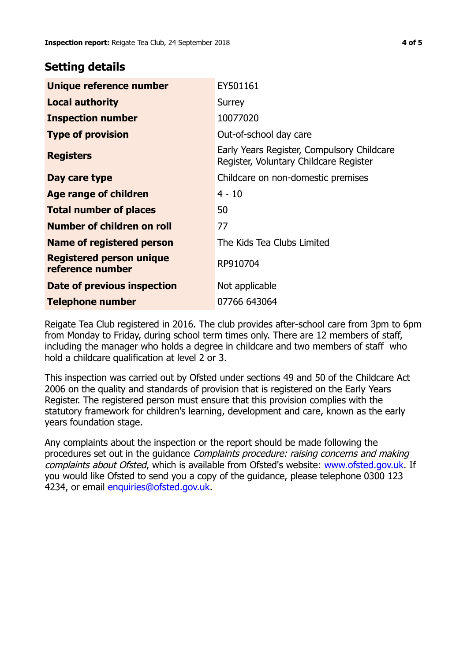## **Setting details**

| Unique reference number                             | EY501161                                                                             |
|-----------------------------------------------------|--------------------------------------------------------------------------------------|
| <b>Local authority</b>                              | Surrey                                                                               |
| <b>Inspection number</b>                            | 10077020                                                                             |
| <b>Type of provision</b>                            | Out-of-school day care                                                               |
| <b>Registers</b>                                    | Early Years Register, Compulsory Childcare<br>Register, Voluntary Childcare Register |
| Day care type                                       | Childcare on non-domestic premises                                                   |
| Age range of children                               | $4 - 10$                                                                             |
| <b>Total number of places</b>                       | 50                                                                                   |
| Number of children on roll                          | 77                                                                                   |
| Name of registered person                           | The Kids Tea Clubs Limited                                                           |
| <b>Registered person unique</b><br>reference number | RP910704                                                                             |
| Date of previous inspection                         | Not applicable                                                                       |
| <b>Telephone number</b>                             | 07766 643064                                                                         |

Reigate Tea Club registered in 2016. The club provides after-school care from 3pm to 6pm from Monday to Friday, during school term times only. There are 12 members of staff, including the manager who holds a degree in childcare and two members of staff who hold a childcare qualification at level 2 or 3.

This inspection was carried out by Ofsted under sections 49 and 50 of the Childcare Act 2006 on the quality and standards of provision that is registered on the Early Years Register. The registered person must ensure that this provision complies with the statutory framework for children's learning, development and care, known as the early years foundation stage.

Any complaints about the inspection or the report should be made following the procedures set out in the quidance *Complaints procedure: raising concerns and making* complaints about Ofsted, which is available from Ofsted's website: www.ofsted.gov.uk. If you would like Ofsted to send you a copy of the guidance, please telephone 0300 123 4234, or email [enquiries@ofsted.gov.uk.](mailto:enquiries@ofsted.gov.uk)